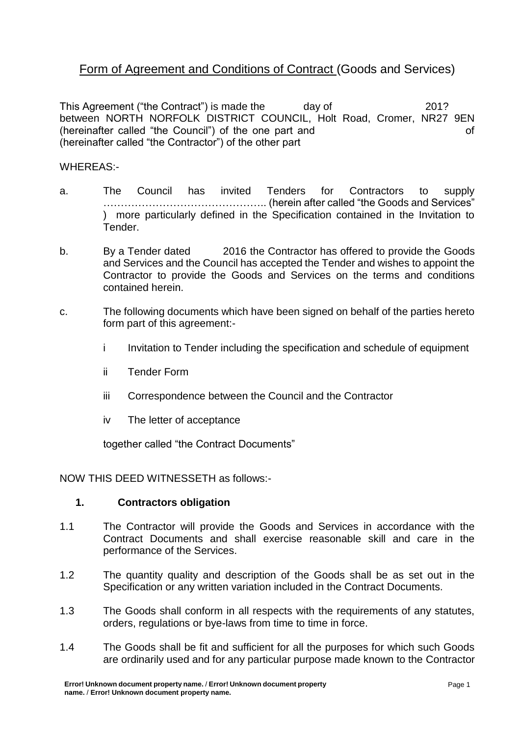# Form of Agreement and Conditions of Contract (Goods and Services)

This Agreement ("the Contract") is made the day of 201? between NORTH NORFOLK DISTRICT COUNCIL, Holt Road, Cromer, NR27 9EN (hereinafter called "the Council") of the one part and of (hereinafter called "the Contractor") of the other part

WHEREAS:-

- a. The Council has invited Tenders for Contractors to supply ……………………………………….. (herein after called "the Goods and Services" ) more particularly defined in the Specification contained in the Invitation to Tender.
- b. By a Tender dated 2016 the Contractor has offered to provide the Goods and Services and the Council has accepted the Tender and wishes to appoint the Contractor to provide the Goods and Services on the terms and conditions contained herein.
- c. The following documents which have been signed on behalf of the parties hereto form part of this agreement:
	- i Invitation to Tender including the specification and schedule of equipment
	- ii Tender Form
	- iii Correspondence between the Council and the Contractor
	- iv The letter of acceptance

together called "the Contract Documents"

NOW THIS DEED WITNESSETH as follows:-

#### **1. Contractors obligation**

- 1.1 The Contractor will provide the Goods and Services in accordance with the Contract Documents and shall exercise reasonable skill and care in the performance of the Services.
- 1.2 The quantity quality and description of the Goods shall be as set out in the Specification or any written variation included in the Contract Documents.
- 1.3 The Goods shall conform in all respects with the requirements of any statutes, orders, regulations or bye-laws from time to time in force.
- 1.4 The Goods shall be fit and sufficient for all the purposes for which such Goods are ordinarily used and for any particular purpose made known to the Contractor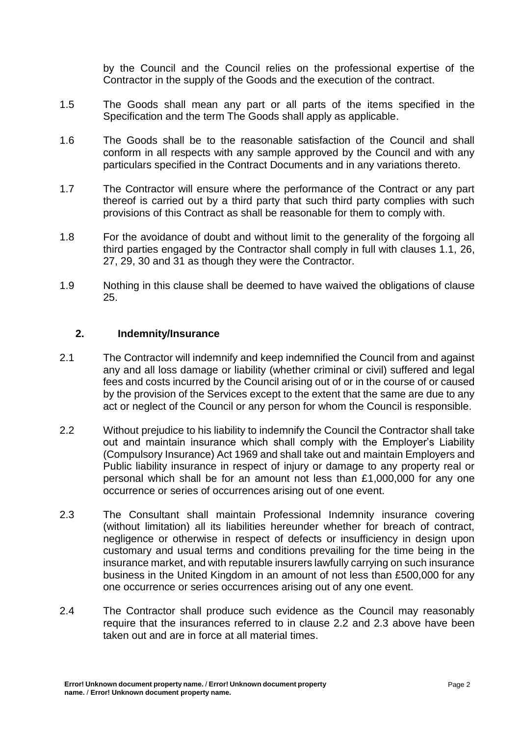by the Council and the Council relies on the professional expertise of the Contractor in the supply of the Goods and the execution of the contract.

- 1.5 The Goods shall mean any part or all parts of the items specified in the Specification and the term The Goods shall apply as applicable.
- 1.6 The Goods shall be to the reasonable satisfaction of the Council and shall conform in all respects with any sample approved by the Council and with any particulars specified in the Contract Documents and in any variations thereto.
- 1.7 The Contractor will ensure where the performance of the Contract or any part thereof is carried out by a third party that such third party complies with such provisions of this Contract as shall be reasonable for them to comply with.
- 1.8 For the avoidance of doubt and without limit to the generality of the forgoing all third parties engaged by the Contractor shall comply in full with clauses 1.1, 26, 27, 29, 30 and 31 as though they were the Contractor.
- 1.9 Nothing in this clause shall be deemed to have waived the obligations of clause 25.

#### **2. Indemnity/Insurance**

- 2.1 The Contractor will indemnify and keep indemnified the Council from and against any and all loss damage or liability (whether criminal or civil) suffered and legal fees and costs incurred by the Council arising out of or in the course of or caused by the provision of the Services except to the extent that the same are due to any act or neglect of the Council or any person for whom the Council is responsible.
- 2.2 Without prejudice to his liability to indemnify the Council the Contractor shall take out and maintain insurance which shall comply with the Employer's Liability (Compulsory Insurance) Act 1969 and shall take out and maintain Employers and Public liability insurance in respect of injury or damage to any property real or personal which shall be for an amount not less than £1,000,000 for any one occurrence or series of occurrences arising out of one event.
- 2.3 The Consultant shall maintain Professional Indemnity insurance covering (without limitation) all its liabilities hereunder whether for breach of contract, negligence or otherwise in respect of defects or insufficiency in design upon customary and usual terms and conditions prevailing for the time being in the insurance market, and with reputable insurers lawfully carrying on such insurance business in the United Kingdom in an amount of not less than £500,000 for any one occurrence or series occurrences arising out of any one event.
- 2.4 The Contractor shall produce such evidence as the Council may reasonably require that the insurances referred to in clause 2.2 and 2.3 above have been taken out and are in force at all material times.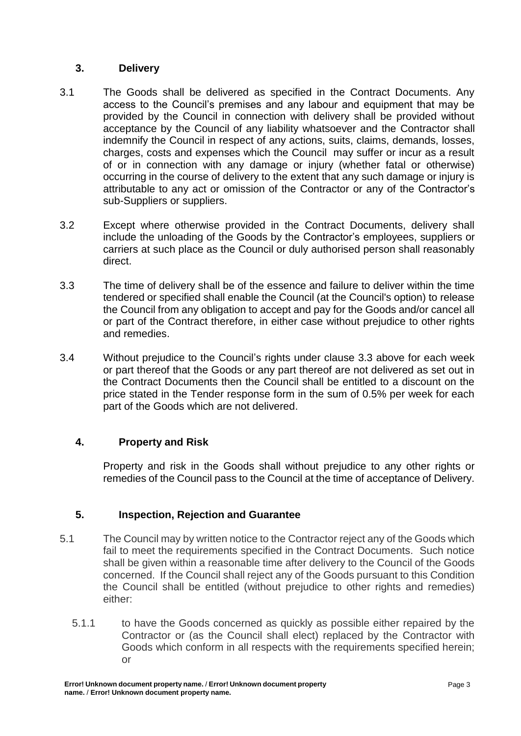### **3. Delivery**

- 3.1 The Goods shall be delivered as specified in the Contract Documents. Any access to the Council's premises and any labour and equipment that may be provided by the Council in connection with delivery shall be provided without acceptance by the Council of any liability whatsoever and the Contractor shall indemnify the Council in respect of any actions, suits, claims, demands, losses, charges, costs and expenses which the Council may suffer or incur as a result of or in connection with any damage or injury (whether fatal or otherwise) occurring in the course of delivery to the extent that any such damage or injury is attributable to any act or omission of the Contractor or any of the Contractor's sub-Suppliers or suppliers.
- 3.2 Except where otherwise provided in the Contract Documents, delivery shall include the unloading of the Goods by the Contractor's employees, suppliers or carriers at such place as the Council or duly authorised person shall reasonably direct.
- 3.3 The time of delivery shall be of the essence and failure to deliver within the time tendered or specified shall enable the Council (at the Council's option) to release the Council from any obligation to accept and pay for the Goods and/or cancel all or part of the Contract therefore, in either case without prejudice to other rights and remedies.
- 3.4 Without prejudice to the Council's rights under clause 3.3 above for each week or part thereof that the Goods or any part thereof are not delivered as set out in the Contract Documents then the Council shall be entitled to a discount on the price stated in the Tender response form in the sum of 0.5% per week for each part of the Goods which are not delivered.

# **4. Property and Risk**

Property and risk in the Goods shall without prejudice to any other rights or remedies of the Council pass to the Council at the time of acceptance of Delivery.

# **5. Inspection, Rejection and Guarantee**

- 5.1 The Council may by written notice to the Contractor reject any of the Goods which fail to meet the requirements specified in the Contract Documents. Such notice shall be given within a reasonable time after delivery to the Council of the Goods concerned. If the Council shall reject any of the Goods pursuant to this Condition the Council shall be entitled (without prejudice to other rights and remedies) either:
	- 5.1.1 to have the Goods concerned as quickly as possible either repaired by the Contractor or (as the Council shall elect) replaced by the Contractor with Goods which conform in all respects with the requirements specified herein; or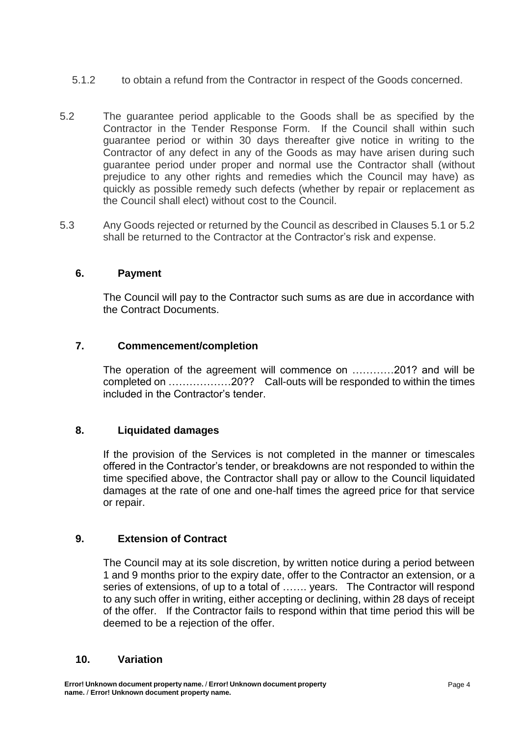- 5.1.2 to obtain a refund from the Contractor in respect of the Goods concerned.
- 5.2 The guarantee period applicable to the Goods shall be as specified by the Contractor in the Tender Response Form. If the Council shall within such guarantee period or within 30 days thereafter give notice in writing to the Contractor of any defect in any of the Goods as may have arisen during such guarantee period under proper and normal use the Contractor shall (without prejudice to any other rights and remedies which the Council may have) as quickly as possible remedy such defects (whether by repair or replacement as the Council shall elect) without cost to the Council.
- 5.3 Any Goods rejected or returned by the Council as described in Clauses 5.1 or 5.2 shall be returned to the Contractor at the Contractor's risk and expense.

### **6. Payment**

The Council will pay to the Contractor such sums as are due in accordance with the Contract Documents.

### **7. Commencement/completion**

The operation of the agreement will commence on …………201? and will be completed on ………………20?? Call-outs will be responded to within the times included in the Contractor's tender.

#### **8. Liquidated damages**

If the provision of the Services is not completed in the manner or timescales offered in the Contractor's tender, or breakdowns are not responded to within the time specified above, the Contractor shall pay or allow to the Council liquidated damages at the rate of one and one-half times the agreed price for that service or repair.

#### **9. Extension of Contract**

The Council may at its sole discretion, by written notice during a period between 1 and 9 months prior to the expiry date, offer to the Contractor an extension, or a series of extensions, of up to a total of ……. years. The Contractor will respond to any such offer in writing, either accepting or declining, within 28 days of receipt of the offer. If the Contractor fails to respond within that time period this will be deemed to be a rejection of the offer.

#### **10. Variation**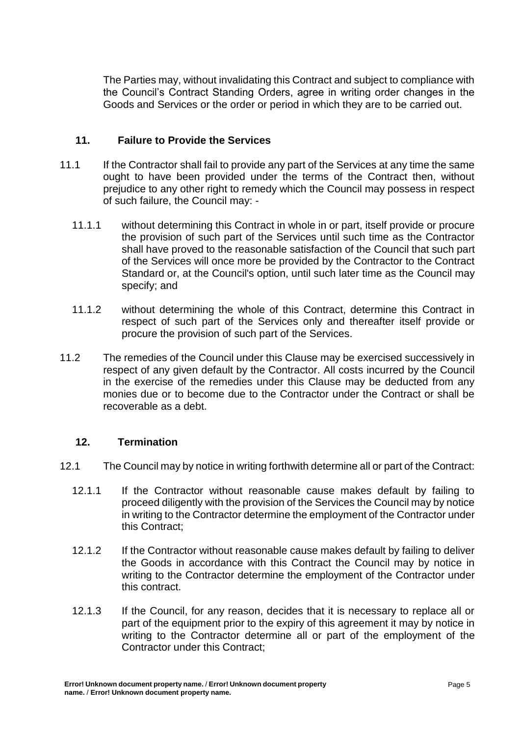The Parties may, without invalidating this Contract and subject to compliance with the Council's Contract Standing Orders, agree in writing order changes in the Goods and Services or the order or period in which they are to be carried out.

#### **11. Failure to Provide the Services**

- 11.1 If the Contractor shall fail to provide any part of the Services at any time the same ought to have been provided under the terms of the Contract then, without prejudice to any other right to remedy which the Council may possess in respect of such failure, the Council may: -
	- 11.1.1 without determining this Contract in whole in or part, itself provide or procure the provision of such part of the Services until such time as the Contractor shall have proved to the reasonable satisfaction of the Council that such part of the Services will once more be provided by the Contractor to the Contract Standard or, at the Council's option, until such later time as the Council may specify; and
	- 11.1.2 without determining the whole of this Contract, determine this Contract in respect of such part of the Services only and thereafter itself provide or procure the provision of such part of the Services.
- 11.2 The remedies of the Council under this Clause may be exercised successively in respect of any given default by the Contractor. All costs incurred by the Council in the exercise of the remedies under this Clause may be deducted from any monies due or to become due to the Contractor under the Contract or shall be recoverable as a debt.

#### **12. Termination**

- 12.1 The Council may by notice in writing forthwith determine all or part of the Contract:
	- 12.1.1 If the Contractor without reasonable cause makes default by failing to proceed diligently with the provision of the Services the Council may by notice in writing to the Contractor determine the employment of the Contractor under this Contract;
	- 12.1.2 If the Contractor without reasonable cause makes default by failing to deliver the Goods in accordance with this Contract the Council may by notice in writing to the Contractor determine the employment of the Contractor under this contract.
	- 12.1.3 If the Council, for any reason, decides that it is necessary to replace all or part of the equipment prior to the expiry of this agreement it may by notice in writing to the Contractor determine all or part of the employment of the Contractor under this Contract;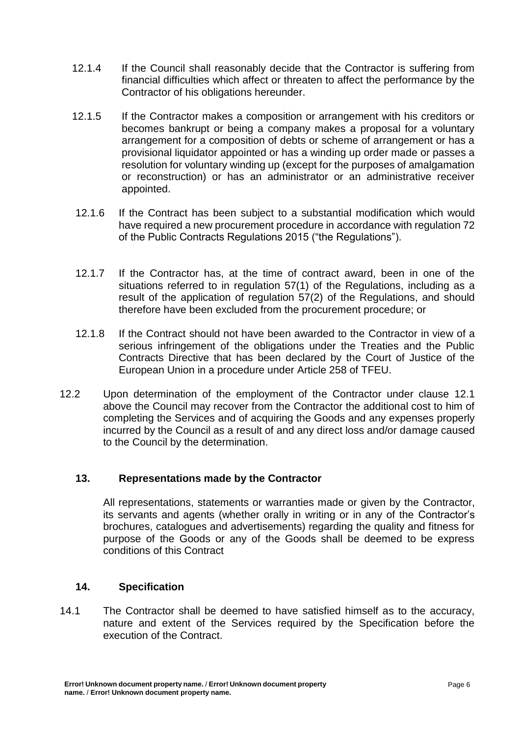- 12.1.4 If the Council shall reasonably decide that the Contractor is suffering from financial difficulties which affect or threaten to affect the performance by the Contractor of his obligations hereunder.
- 12.1.5 If the Contractor makes a composition or arrangement with his creditors or becomes bankrupt or being a company makes a proposal for a voluntary arrangement for a composition of debts or scheme of arrangement or has a provisional liquidator appointed or has a winding up order made or passes a resolution for voluntary winding up (except for the purposes of amalgamation or reconstruction) or has an administrator or an administrative receiver appointed.
- 12.1.6 If the Contract has been subject to a substantial modification which would have required a new procurement procedure in accordance with regulation 72 of the Public Contracts Regulations 2015 ("the Regulations").
- 12.1.7 If the Contractor has, at the time of contract award, been in one of the situations referred to in regulation 57(1) of the Regulations, including as a result of the application of regulation 57(2) of the Regulations, and should therefore have been excluded from the procurement procedure; or
- 12.1.8 If the Contract should not have been awarded to the Contractor in view of a serious infringement of the obligations under the Treaties and the Public Contracts Directive that has been declared by the Court of Justice of the European Union in a procedure under Article 258 of TFEU.
- 12.2 Upon determination of the employment of the Contractor under clause 12.1 above the Council may recover from the Contractor the additional cost to him of completing the Services and of acquiring the Goods and any expenses properly incurred by the Council as a result of and any direct loss and/or damage caused to the Council by the determination.

# **13. Representations made by the Contractor**

All representations, statements or warranties made or given by the Contractor, its servants and agents (whether orally in writing or in any of the Contractor's brochures, catalogues and advertisements) regarding the quality and fitness for purpose of the Goods or any of the Goods shall be deemed to be express conditions of this Contract

#### **14. Specification**

14.1 The Contractor shall be deemed to have satisfied himself as to the accuracy, nature and extent of the Services required by the Specification before the execution of the Contract.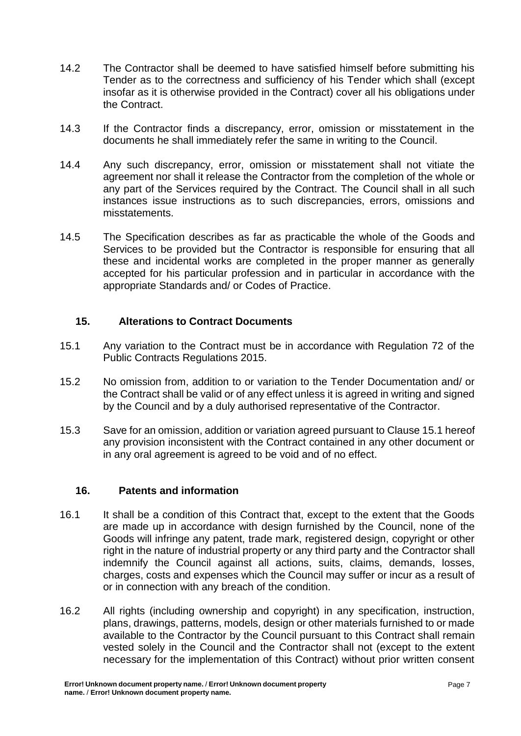- 14.2 The Contractor shall be deemed to have satisfied himself before submitting his Tender as to the correctness and sufficiency of his Tender which shall (except insofar as it is otherwise provided in the Contract) cover all his obligations under the Contract.
- 14.3 If the Contractor finds a discrepancy, error, omission or misstatement in the documents he shall immediately refer the same in writing to the Council.
- 14.4 Any such discrepancy, error, omission or misstatement shall not vitiate the agreement nor shall it release the Contractor from the completion of the whole or any part of the Services required by the Contract. The Council shall in all such instances issue instructions as to such discrepancies, errors, omissions and misstatements.
- 14.5 The Specification describes as far as practicable the whole of the Goods and Services to be provided but the Contractor is responsible for ensuring that all these and incidental works are completed in the proper manner as generally accepted for his particular profession and in particular in accordance with the appropriate Standards and/ or Codes of Practice.

#### **15. Alterations to Contract Documents**

- 15.1 Any variation to the Contract must be in accordance with Regulation 72 of the Public Contracts Regulations 2015.
- 15.2 No omission from, addition to or variation to the Tender Documentation and/ or the Contract shall be valid or of any effect unless it is agreed in writing and signed by the Council and by a duly authorised representative of the Contractor.
- 15.3 Save for an omission, addition or variation agreed pursuant to Clause 15.1 hereof any provision inconsistent with the Contract contained in any other document or in any oral agreement is agreed to be void and of no effect.

#### **16. Patents and information**

- 16.1 It shall be a condition of this Contract that, except to the extent that the Goods are made up in accordance with design furnished by the Council, none of the Goods will infringe any patent, trade mark, registered design, copyright or other right in the nature of industrial property or any third party and the Contractor shall indemnify the Council against all actions, suits, claims, demands, losses, charges, costs and expenses which the Council may suffer or incur as a result of or in connection with any breach of the condition.
- 16.2 All rights (including ownership and copyright) in any specification, instruction, plans, drawings, patterns, models, design or other materials furnished to or made available to the Contractor by the Council pursuant to this Contract shall remain vested solely in the Council and the Contractor shall not (except to the extent necessary for the implementation of this Contract) without prior written consent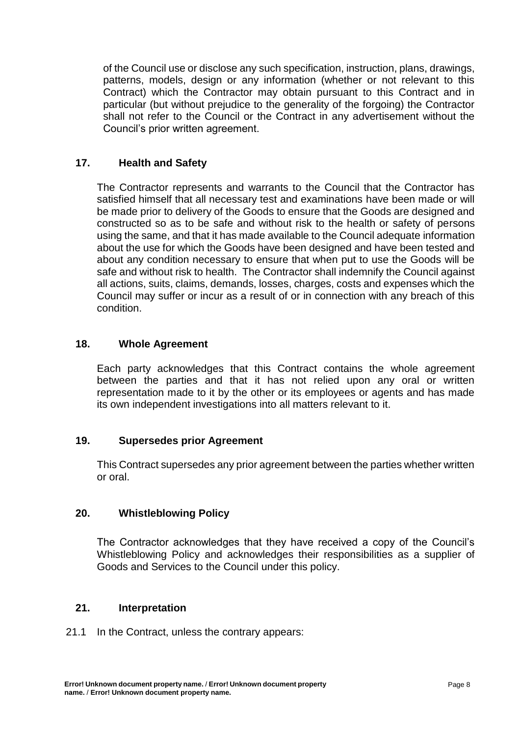of the Council use or disclose any such specification, instruction, plans, drawings, patterns, models, design or any information (whether or not relevant to this Contract) which the Contractor may obtain pursuant to this Contract and in particular (but without prejudice to the generality of the forgoing) the Contractor shall not refer to the Council or the Contract in any advertisement without the Council's prior written agreement.

### **17. Health and Safety**

The Contractor represents and warrants to the Council that the Contractor has satisfied himself that all necessary test and examinations have been made or will be made prior to delivery of the Goods to ensure that the Goods are designed and constructed so as to be safe and without risk to the health or safety of persons using the same, and that it has made available to the Council adequate information about the use for which the Goods have been designed and have been tested and about any condition necessary to ensure that when put to use the Goods will be safe and without risk to health. The Contractor shall indemnify the Council against all actions, suits, claims, demands, losses, charges, costs and expenses which the Council may suffer or incur as a result of or in connection with any breach of this condition.

#### **18. Whole Agreement**

Each party acknowledges that this Contract contains the whole agreement between the parties and that it has not relied upon any oral or written representation made to it by the other or its employees or agents and has made its own independent investigations into all matters relevant to it.

#### **19. Supersedes prior Agreement**

This Contract supersedes any prior agreement between the parties whether written or oral.

#### **20. Whistleblowing Policy**

The Contractor acknowledges that they have received a copy of the Council's Whistleblowing Policy and acknowledges their responsibilities as a supplier of Goods and Services to the Council under this policy.

#### **21. Interpretation**

21.1 In the Contract, unless the contrary appears: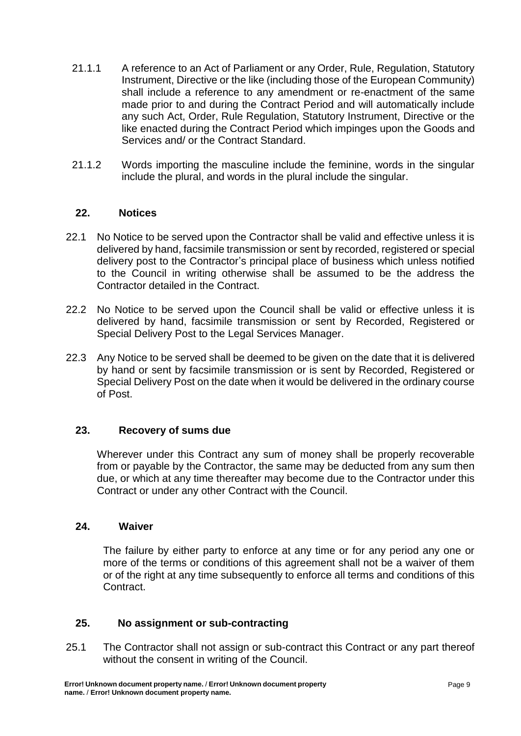- 21.1.1 A reference to an Act of Parliament or any Order, Rule, Regulation, Statutory Instrument, Directive or the like (including those of the European Community) shall include a reference to any amendment or re-enactment of the same made prior to and during the Contract Period and will automatically include any such Act, Order, Rule Regulation, Statutory Instrument, Directive or the like enacted during the Contract Period which impinges upon the Goods and Services and/ or the Contract Standard.
- 21.1.2 Words importing the masculine include the feminine, words in the singular include the plural, and words in the plural include the singular.

### **22. Notices**

- 22.1 No Notice to be served upon the Contractor shall be valid and effective unless it is delivered by hand, facsimile transmission or sent by recorded, registered or special delivery post to the Contractor's principal place of business which unless notified to the Council in writing otherwise shall be assumed to be the address the Contractor detailed in the Contract.
- 22.2 No Notice to be served upon the Council shall be valid or effective unless it is delivered by hand, facsimile transmission or sent by Recorded, Registered or Special Delivery Post to the Legal Services Manager.
- 22.3 Any Notice to be served shall be deemed to be given on the date that it is delivered by hand or sent by facsimile transmission or is sent by Recorded, Registered or Special Delivery Post on the date when it would be delivered in the ordinary course of Post.

#### **23. Recovery of sums due**

Wherever under this Contract any sum of money shall be properly recoverable from or payable by the Contractor, the same may be deducted from any sum then due, or which at any time thereafter may become due to the Contractor under this Contract or under any other Contract with the Council.

#### **24. Waiver**

The failure by either party to enforce at any time or for any period any one or more of the terms or conditions of this agreement shall not be a waiver of them or of the right at any time subsequently to enforce all terms and conditions of this Contract.

### **25. No assignment or sub-contracting**

25.1 The Contractor shall not assign or sub-contract this Contract or any part thereof without the consent in writing of the Council.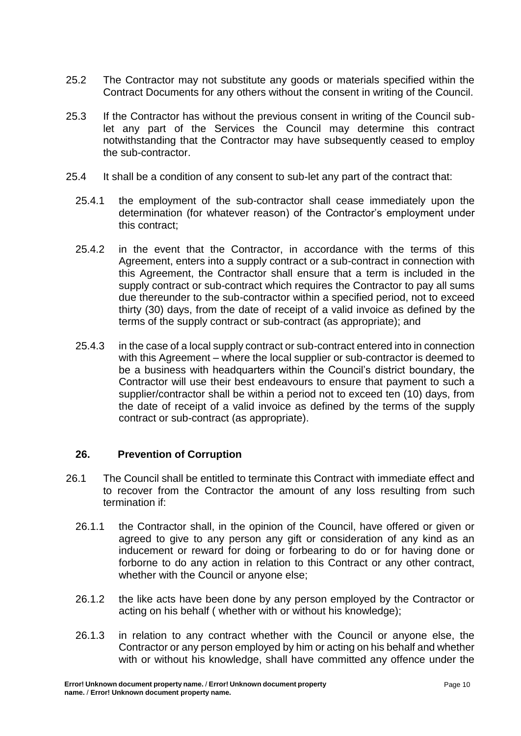- 25.2 The Contractor may not substitute any goods or materials specified within the Contract Documents for any others without the consent in writing of the Council.
- 25.3 If the Contractor has without the previous consent in writing of the Council sublet any part of the Services the Council may determine this contract notwithstanding that the Contractor may have subsequently ceased to employ the sub-contractor.
- 25.4 It shall be a condition of any consent to sub-let any part of the contract that:
	- 25.4.1 the employment of the sub-contractor shall cease immediately upon the determination (for whatever reason) of the Contractor's employment under this contract;
	- 25.4.2 in the event that the Contractor, in accordance with the terms of this Agreement, enters into a supply contract or a sub-contract in connection with this Agreement, the Contractor shall ensure that a term is included in the supply contract or sub-contract which requires the Contractor to pay all sums due thereunder to the sub-contractor within a specified period, not to exceed thirty (30) days, from the date of receipt of a valid invoice as defined by the terms of the supply contract or sub-contract (as appropriate); and
	- 25.4.3 in the case of a local supply contract or sub-contract entered into in connection with this Agreement – where the local supplier or sub-contractor is deemed to be a business with headquarters within the Council's district boundary, the Contractor will use their best endeavours to ensure that payment to such a supplier/contractor shall be within a period not to exceed ten (10) days, from the date of receipt of a valid invoice as defined by the terms of the supply contract or sub-contract (as appropriate).

#### **26. Prevention of Corruption**

- 26.1 The Council shall be entitled to terminate this Contract with immediate effect and to recover from the Contractor the amount of any loss resulting from such termination if:
	- 26.1.1 the Contractor shall, in the opinion of the Council, have offered or given or agreed to give to any person any gift or consideration of any kind as an inducement or reward for doing or forbearing to do or for having done or forborne to do any action in relation to this Contract or any other contract, whether with the Council or anyone else;
	- 26.1.2 the like acts have been done by any person employed by the Contractor or acting on his behalf ( whether with or without his knowledge);
	- 26.1.3 in relation to any contract whether with the Council or anyone else, the Contractor or any person employed by him or acting on his behalf and whether with or without his knowledge, shall have committed any offence under the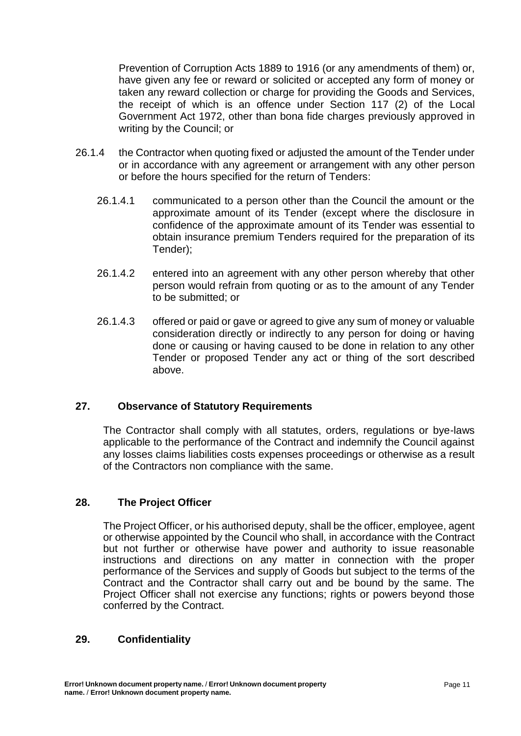Prevention of Corruption Acts 1889 to 1916 (or any amendments of them) or, have given any fee or reward or solicited or accepted any form of money or taken any reward collection or charge for providing the Goods and Services, the receipt of which is an offence under Section 117 (2) of the Local Government Act 1972, other than bona fide charges previously approved in writing by the Council; or

- 26.1.4 the Contractor when quoting fixed or adjusted the amount of the Tender under or in accordance with any agreement or arrangement with any other person or before the hours specified for the return of Tenders:
	- 26.1.4.1 communicated to a person other than the Council the amount or the approximate amount of its Tender (except where the disclosure in confidence of the approximate amount of its Tender was essential to obtain insurance premium Tenders required for the preparation of its Tender);
	- 26.1.4.2 entered into an agreement with any other person whereby that other person would refrain from quoting or as to the amount of any Tender to be submitted; or
	- 26.1.4.3 offered or paid or gave or agreed to give any sum of money or valuable consideration directly or indirectly to any person for doing or having done or causing or having caused to be done in relation to any other Tender or proposed Tender any act or thing of the sort described above.

#### **27. Observance of Statutory Requirements**

The Contractor shall comply with all statutes, orders, regulations or bye-laws applicable to the performance of the Contract and indemnify the Council against any losses claims liabilities costs expenses proceedings or otherwise as a result of the Contractors non compliance with the same.

#### **28. The Project Officer**

 The Project Officer, or his authorised deputy, shall be the officer, employee, agent or otherwise appointed by the Council who shall, in accordance with the Contract but not further or otherwise have power and authority to issue reasonable instructions and directions on any matter in connection with the proper performance of the Services and supply of Goods but subject to the terms of the Contract and the Contractor shall carry out and be bound by the same. The Project Officer shall not exercise any functions; rights or powers beyond those conferred by the Contract.

#### **29. Confidentiality**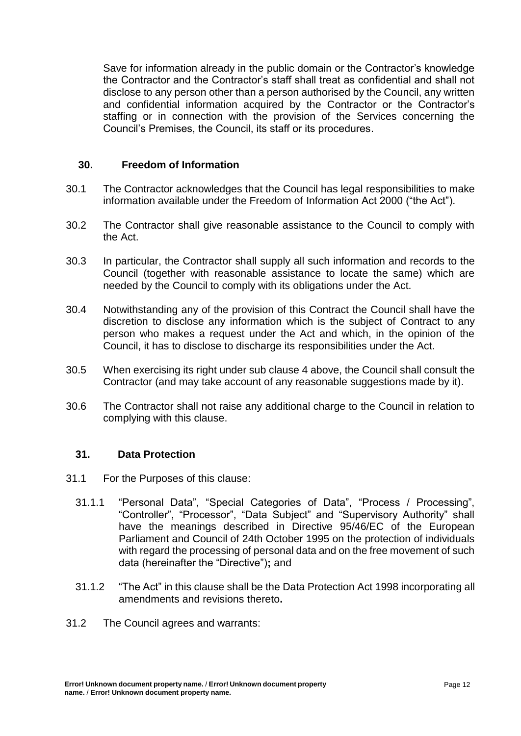Save for information already in the public domain or the Contractor's knowledge the Contractor and the Contractor's staff shall treat as confidential and shall not disclose to any person other than a person authorised by the Council, any written and confidential information acquired by the Contractor or the Contractor's staffing or in connection with the provision of the Services concerning the Council's Premises, the Council, its staff or its procedures.

#### **30. Freedom of Information**

- 30.1 The Contractor acknowledges that the Council has legal responsibilities to make information available under the Freedom of Information Act 2000 ("the Act").
- 30.2 The Contractor shall give reasonable assistance to the Council to comply with the Act.
- 30.3 In particular, the Contractor shall supply all such information and records to the Council (together with reasonable assistance to locate the same) which are needed by the Council to comply with its obligations under the Act.
- 30.4 Notwithstanding any of the provision of this Contract the Council shall have the discretion to disclose any information which is the subject of Contract to any person who makes a request under the Act and which, in the opinion of the Council, it has to disclose to discharge its responsibilities under the Act.
- 30.5 When exercising its right under sub clause 4 above, the Council shall consult the Contractor (and may take account of any reasonable suggestions made by it).
- 30.6 The Contractor shall not raise any additional charge to the Council in relation to complying with this clause.

#### **31. Data Protection**

- 31.1 For the Purposes of this clause:
	- 31.1.1 "Personal Data", "Special Categories of Data", "Process / Processing", "Controller", "Processor", "Data Subject" and "Supervisory Authority" shall have the meanings described in Directive 95/46/EC of the European Parliament and Council of 24th October 1995 on the protection of individuals with regard the processing of personal data and on the free movement of such data (hereinafter the "Directive")**;** and
	- 31.1.2 "The Act" in this clause shall be the Data Protection Act 1998 incorporating all amendments and revisions thereto**.**
- 31.2 The Council agrees and warrants: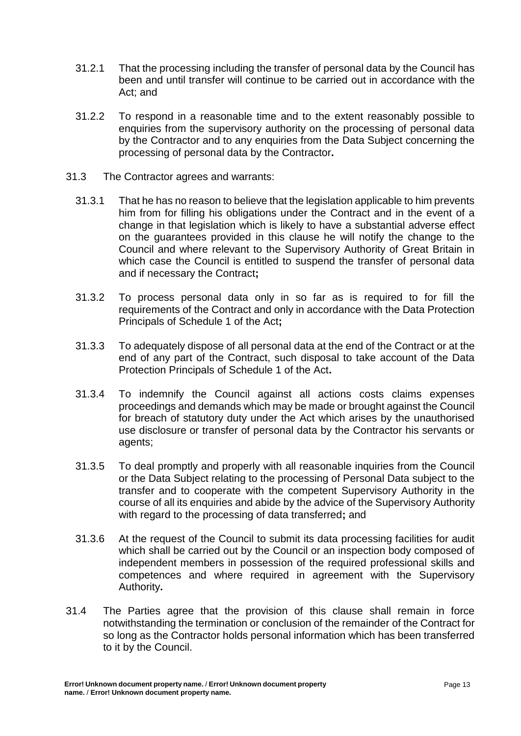- 31.2.1 That the processing including the transfer of personal data by the Council has been and until transfer will continue to be carried out in accordance with the Act; and
- 31.2.2 To respond in a reasonable time and to the extent reasonably possible to enquiries from the supervisory authority on the processing of personal data by the Contractor and to any enquiries from the Data Subject concerning the processing of personal data by the Contractor**.**
- 31.3 The Contractor agrees and warrants:
	- 31.3.1 That he has no reason to believe that the legislation applicable to him prevents him from for filling his obligations under the Contract and in the event of a change in that legislation which is likely to have a substantial adverse effect on the guarantees provided in this clause he will notify the change to the Council and where relevant to the Supervisory Authority of Great Britain in which case the Council is entitled to suspend the transfer of personal data and if necessary the Contract**;**
	- 31.3.2 To process personal data only in so far as is required to for fill the requirements of the Contract and only in accordance with the Data Protection Principals of Schedule 1 of the Act**;**
	- 31.3.3 To adequately dispose of all personal data at the end of the Contract or at the end of any part of the Contract, such disposal to take account of the Data Protection Principals of Schedule 1 of the Act**.**
	- 31.3.4 To indemnify the Council against all actions costs claims expenses proceedings and demands which may be made or brought against the Council for breach of statutory duty under the Act which arises by the unauthorised use disclosure or transfer of personal data by the Contractor his servants or agents;
	- 31.3.5 To deal promptly and properly with all reasonable inquiries from the Council or the Data Subject relating to the processing of Personal Data subject to the transfer and to cooperate with the competent Supervisory Authority in the course of all its enquiries and abide by the advice of the Supervisory Authority with regard to the processing of data transferred**;** and
	- 31.3.6 At the request of the Council to submit its data processing facilities for audit which shall be carried out by the Council or an inspection body composed of independent members in possession of the required professional skills and competences and where required in agreement with the Supervisory Authority**.**
- 31.4 The Parties agree that the provision of this clause shall remain in force notwithstanding the termination or conclusion of the remainder of the Contract for so long as the Contractor holds personal information which has been transferred to it by the Council.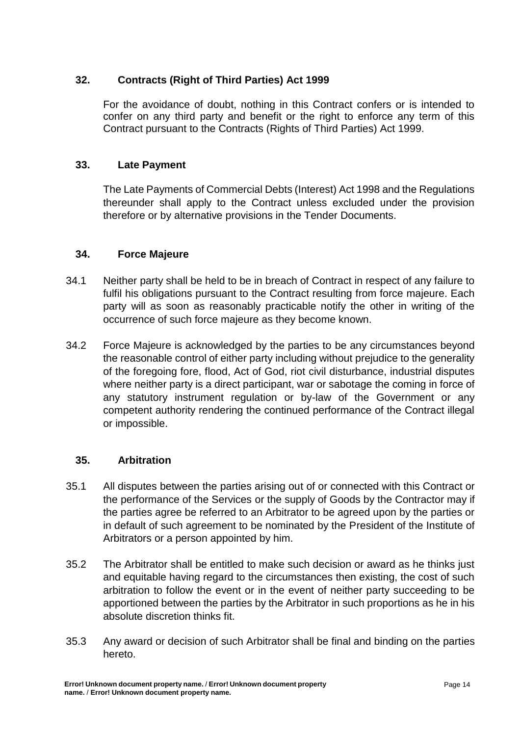# **32. Contracts (Right of Third Parties) Act 1999**

For the avoidance of doubt, nothing in this Contract confers or is intended to confer on any third party and benefit or the right to enforce any term of this Contract pursuant to the Contracts (Rights of Third Parties) Act 1999.

## **33. Late Payment**

The Late Payments of Commercial Debts (Interest) Act 1998 and the Regulations thereunder shall apply to the Contract unless excluded under the provision therefore or by alternative provisions in the Tender Documents.

### **34. Force Majeure**

- 34.1 Neither party shall be held to be in breach of Contract in respect of any failure to fulfil his obligations pursuant to the Contract resulting from force majeure. Each party will as soon as reasonably practicable notify the other in writing of the occurrence of such force majeure as they become known.
- 34.2 Force Majeure is acknowledged by the parties to be any circumstances beyond the reasonable control of either party including without prejudice to the generality of the foregoing fore, flood, Act of God, riot civil disturbance, industrial disputes where neither party is a direct participant, war or sabotage the coming in force of any statutory instrument regulation or by-law of the Government or any competent authority rendering the continued performance of the Contract illegal or impossible.

#### **35. Arbitration**

- 35.1 All disputes between the parties arising out of or connected with this Contract or the performance of the Services or the supply of Goods by the Contractor may if the parties agree be referred to an Arbitrator to be agreed upon by the parties or in default of such agreement to be nominated by the President of the Institute of Arbitrators or a person appointed by him.
- 35.2 The Arbitrator shall be entitled to make such decision or award as he thinks just and equitable having regard to the circumstances then existing, the cost of such arbitration to follow the event or in the event of neither party succeeding to be apportioned between the parties by the Arbitrator in such proportions as he in his absolute discretion thinks fit.
- 35.3 Any award or decision of such Arbitrator shall be final and binding on the parties hereto.